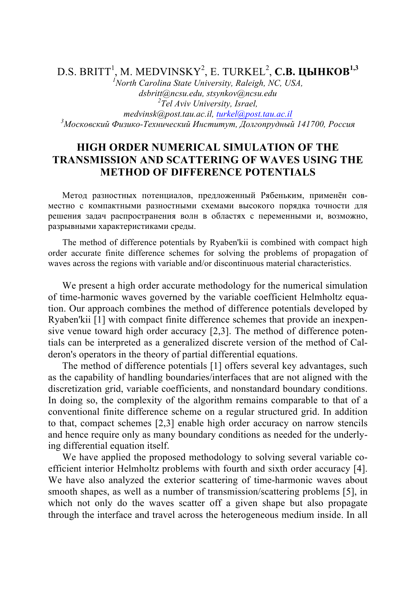D.S. BRITT<sup>1</sup> , M. MEDVINSKY<sup>2</sup> , E. TURKEL<sup>2</sup> , **С.В. ЦЫНКОВ1,3**

*1 North Carolina State University, Raleigh, NC, USA, dsbritt@ncsu.edu, stsynkov@ncsu.edu <sup>2</sup> Tel Aviv University, Israel, medvinsk@post.tau.ac.il, turkel@post.tau.ac.il <sup>3</sup> Московский Физико-Технический Институт, Долгопрудный 141700, Россия*

## **HIGH ORDER NUMERICAL SIMULATION OF THE TRANSMISSION AND SCATTERING OF WAVES USING THE METHOD OF DIFFERENCE POTENTIALS**

Метод разностных потенциалов, предложенный Рябеньким, применён совместно с компактными разностными схемами высокого порядка точности для решения задач распространения волн в областях с переменными и, возможно, разрывными характеристиками среды.

The method of difference potentials by Ryaben'kii is combined with compact high order accurate finite difference schemes for solving the problems of propagation of waves across the regions with variable and/or discontinuous material characteristics.

We present a high order accurate methodology for the numerical simulation of time-harmonic waves governed by the variable coefficient Helmholtz equation. Our approach combines the method of difference potentials developed by Ryaben'kii [1] with compact finite difference schemes that provide an inexpensive venue toward high order accuracy [2,3]. The method of difference potentials can be interpreted as a generalized discrete version of the method of Calderon's operators in the theory of partial differential equations.

The method of difference potentials [1] offers several key advantages, such as the capability of handling boundaries/interfaces that are not aligned with the discretization grid, variable coefficients, and nonstandard boundary conditions. In doing so, the complexity of the algorithm remains comparable to that of a conventional finite difference scheme on a regular structured grid. In addition to that, compact schemes [2,3] enable high order accuracy on narrow stencils and hence require only as many boundary conditions as needed for the underlying differential equation itself.

We have applied the proposed methodology to solving several variable coefficient interior Helmholtz problems with fourth and sixth order accuracy [4]. We have also analyzed the exterior scattering of time-harmonic waves about smooth shapes, as well as a number of transmission/scattering problems [5], in which not only do the waves scatter off a given shape but also propagate through the interface and travel across the heterogeneous medium inside. In all